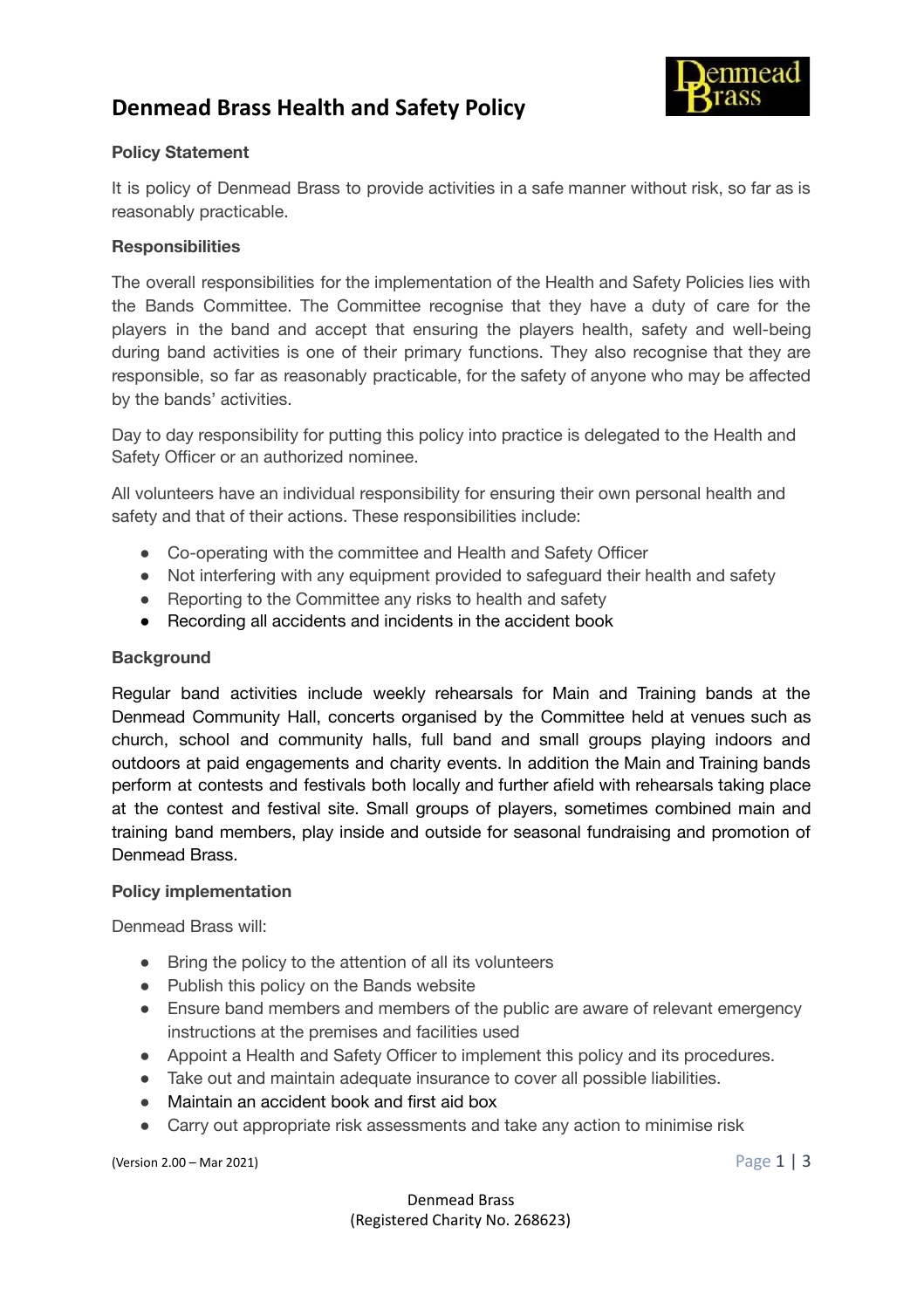# **Denmead Brass Health and Safety Policy**



## **Policy Statement**

It is policy of Denmead Brass to provide activities in a safe manner without risk, so far as is reasonably practicable.

## **Responsibilities**

The overall responsibilities for the implementation of the Health and Safety Policies lies with the Bands Committee. The Committee recognise that they have a duty of care for the players in the band and accept that ensuring the players health, safety and well-being during band activities is one of their primary functions. They also recognise that they are responsible, so far as reasonably practicable, for the safety of anyone who may be affected by the bands' activities.

Day to day responsibility for putting this policy into practice is delegated to the Health and Safety Officer or an authorized nominee.

All volunteers have an individual responsibility for ensuring their own personal health and safety and that of their actions. These responsibilities include:

- Co-operating with the committee and Health and Safety Officer
- Not interfering with any equipment provided to safeguard their health and safety
- Reporting to the Committee any risks to health and safety
- Recording all accidents and incidents in the accident book

## **Background**

Regular band activities include weekly rehearsals for Main and Training bands at the Denmead Community Hall, concerts organised by the Committee held at venues such as church, school and community halls, full band and small groups playing indoors and outdoors at paid engagements and charity events. In addition the Main and Training bands perform at contests and festivals both locally and further afield with rehearsals taking place at the contest and festival site. Small groups of players, sometimes combined main and training band members, play inside and outside for seasonal fundraising and promotion of Denmead Brass.

### **Policy implementation**

Denmead Brass will:

- Bring the policy to the attention of all its volunteers
- Publish this policy on the Bands website
- Ensure band members and members of the public are aware of relevant emergency instructions at the premises and facilities used
- Appoint a Health and Safety Officer to implement this policy and its procedures.
- Take out and maintain adequate insurance to cover all possible liabilities.
- Maintain an accident book and first aid box
- Carry out appropriate risk assessments and take any action to minimise risk

(Version 2.00 – Mar 2021) Page 1 | 3

Denmead Brass (Registered Charity No. 268623)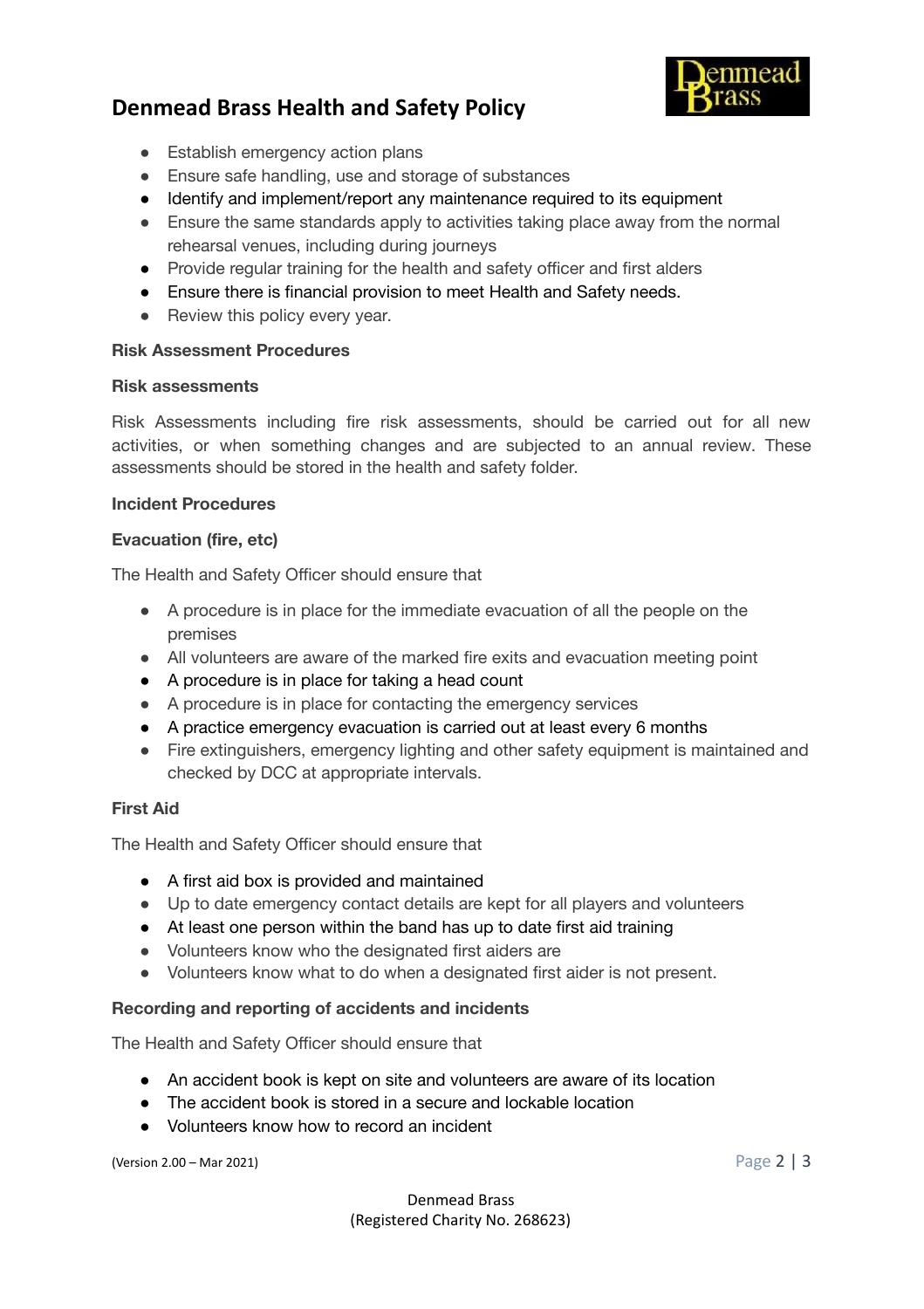## **Denmead Brass Health and Safety Policy**



- Establish emergency action plans
- Ensure safe handling, use and storage of substances
- Identify and implement/report any maintenance required to its equipment
- Ensure the same standards apply to activities taking place away from the normal rehearsal venues, including during journeys
- Provide regular training for the health and safety officer and first alders
- Ensure there is financial provision to meet Health and Safety needs.
- Review this policy every year.

#### **Risk Assessment Procedures**

#### **Risk assessments**

Risk Assessments including fire risk assessments, should be carried out for all new activities, or when something changes and are subjected to an annual review. These assessments should be stored in the health and safety folder.

#### **Incident Procedures**

#### **Evacuation (fire, etc)**

The Health and Safety Officer should ensure that

- A procedure is in place for the immediate evacuation of all the people on the premises
- All volunteers are aware of the marked fire exits and evacuation meeting point
- A procedure is in place for taking a head count
- A procedure is in place for contacting the emergency services
- A practice emergency evacuation is carried out at least every 6 months
- Fire extinguishers, emergency lighting and other safety equipment is maintained and checked by DCC at appropriate intervals.

### **First Aid**

The Health and Safety Officer should ensure that

- A first aid box is provided and maintained
- Up to date emergency contact details are kept for all players and volunteers
- At least one person within the band has up to date first aid training
- Volunteers know who the designated first aiders are
- Volunteers know what to do when a designated first aider is not present.

### **Recording and reporting of accidents and incidents**

The Health and Safety Officer should ensure that

- An accident book is kept on site and volunteers are aware of its location
- The accident book is stored in a secure and lockable location
- Volunteers know how to record an incident

(Version 2.00 – Mar 2021) Page 2 | 3